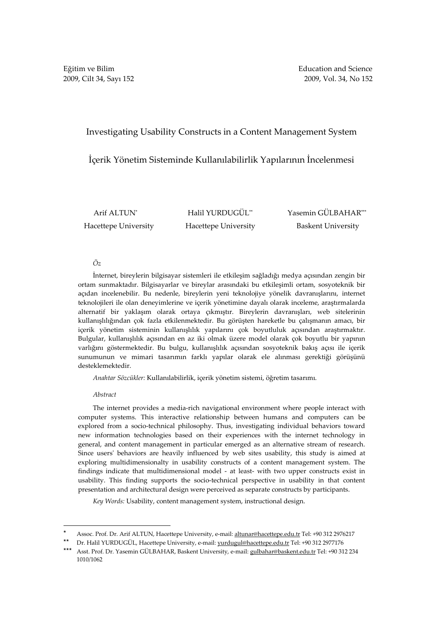# Investigating Usability Constructs in a Content Management System

# İçerik Yönetim Sisteminde Kullanılabilirlik Yapılarının İncelenmesi

 Arif ALTUN\* Hacettepe University **Hacettepe University** Baskent University

Halil YURDUGÜL<sup>\*\*</sup> Yasemin GÜLBAHAR\*\*\*

### Öz

İnternet, bireylerin bilgisayar sistemleri ile etkileşim sağladığı medya açısından zengin bir ortam sunmaktadır. Bilgisayarlar ve bireylar arasındaki bu etkileşimli ortam, sosyoteknik bir açıdan incelenebilir. Bu nedenle, bireylerin yeni teknolojiye yönelik davranışlarını, internet teknolojileri ile olan deneyimlerine ve içerik yönetimine dayalı olarak inceleme, araştırmalarda alternatif bir yaklaşım olarak ortaya çıkmıştır. Bireylerin davranışları, web sitelerinin kullanışlılığından çok fazla etkilenmektedir. Bu görüşten hareketle bu çalışmanın amacı, bir içerik yönetim sisteminin kullanışlılık yapılarını çok boyutluluk açısından araştırmaktır. Bulgular, kullanışlılık açısından en az iki olmak üzere model olarak çok boyutlu bir yapının varlığını göstermektedir. Bu bulgu, kullanışlılık açısından sosyoteknik bakış açısı ile içerik sunumunun ve mimari tasarımın farklı yapılar olarak ele alınması gerektiği görüşünü desteklemektedir.

Anahtar Sözcükler: Kullanılabilirlik, içerik yönetim sistemi, öğretim tasarımı.

### Abstract

The internet provides a media-rich navigational environment where people interact with computer systems. This interactive relationship between humans and computers can be explored from a socio-technical philosophy. Thus, investigating individual behaviors toward new information technologies based on their experiences with the internet technology in general, and content management in particular emerged as an alternative stream of research. Since users' behaviors are heavily influenced by web sites usability, this study is aimed at exploring multidimensionalty in usability constructs of a content management system. The findings indicate that multidimensional model - at least- with two upper constructs exist in usability. This finding supports the socio-technical perspective in usability in that content presentation and architectural design were perceived as separate constructs by participants.

Key Words: Usability, content management system, instructional design.

<sup>\*</sup> Assoc. Prof. Dr. Arif ALTUN, Hacettepe University, e-mail: altunar@hacettepe.edu.tr Tel: +90 312 2976217

Dr. Halil YURDUGÜL, Hacettepe University, e-mail: yurdugul@hacettepe.edu.tr Tel: +90 312 2977176

<sup>\*\*\*</sup> Asst. Prof. Dr. Yasemin GÜLBAHAR, Baskent University, e-mail: gulbahar@baskent.edu.tr Tel: +90 312 234 1010/1062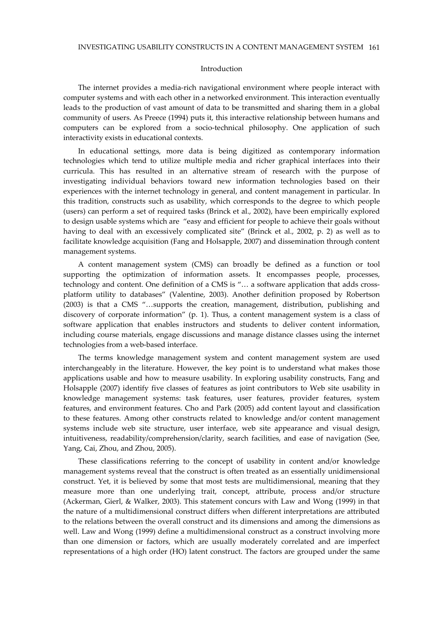#### Introduction

The internet provides a media-rich navigational environment where people interact with computer systems and with each other in a networked environment. This interaction eventually leads to the production of vast amount of data to be transmitted and sharing them in a global community of users. As Preece (1994) puts it, this interactive relationship between humans and computers can be explored from a socio-technical philosophy. One application of such interactivity exists in educational contexts.

In educational settings, more data is being digitized as contemporary information technologies which tend to utilize multiple media and richer graphical interfaces into their curricula. This has resulted in an alternative stream of research with the purpose of investigating individual behaviors toward new information technologies based on their experiences with the internet technology in general, and content management in particular. In this tradition, constructs such as usability, which corresponds to the degree to which people (users) can perform a set of required tasks (Brinck et al., 2002), have been empirically explored to design usable systems which are "easy and efficient for people to achieve their goals without having to deal with an excessively complicated site" (Brinck et al., 2002, p. 2) as well as to facilitate knowledge acquisition (Fang and Holsapple, 2007) and dissemination through content management systems.

A content management system (CMS) can broadly be defined as a function or tool supporting the optimization of information assets. It encompasses people, processes, technology and content. One definition of a CMS is "… a software application that adds crossplatform utility to databases" (Valentine, 2003). Another definition proposed by Robertson (2003) is that a CMS "…supports the creation, management, distribution, publishing and discovery of corporate information" (p. 1). Thus, a content management system is a class of software application that enables instructors and students to deliver content information, including course materials, engage discussions and manage distance classes using the internet technologies from a web-based interface.

The terms knowledge management system and content management system are used interchangeably in the literature. However, the key point is to understand what makes those applications usable and how to measure usability. In exploring usability constructs, Fang and Holsapple (2007) identify five classes of features as joint contributors to Web site usability in knowledge management systems: task features, user features, provider features, system features, and environment features. Cho and Park (2005) add content layout and classification to these features. Among other constructs related to knowledge and/or content management systems include web site structure, user interface, web site appearance and visual design, intuitiveness, readability/comprehension/clarity, search facilities, and ease of navigation (See, Yang, Cai, Zhou, and Zhou, 2005).

These classifications referring to the concept of usability in content and/or knowledge management systems reveal that the construct is often treated as an essentially unidimensional construct. Yet, it is believed by some that most tests are multidimensional, meaning that they measure more than one underlying trait, concept, attribute, process and/or structure (Ackerman, Gierl, & Walker, 2003). This statement concurs with Law and Wong (1999) in that the nature of a multidimensional construct differs when different interpretations are attributed to the relations between the overall construct and its dimensions and among the dimensions as well. Law and Wong (1999) define a multidimensional construct as a construct involving more than one dimension or factors, which are usually moderately correlated and are imperfect representations of a high order (HO) latent construct. The factors are grouped under the same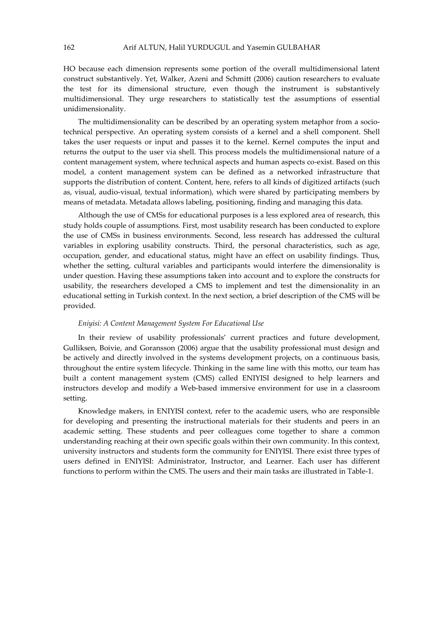HO because each dimension represents some portion of the overall multidimensional latent construct substantively. Yet, Walker, Azeni and Schmitt (2006) caution researchers to evaluate the test for its dimensional structure, even though the instrument is substantively multidimensional. They urge researchers to statistically test the assumptions of essential unidimensionality.

The multidimensionality can be described by an operating system metaphor from a sociotechnical perspective. An operating system consists of a kernel and a shell component. Shell takes the user requests or input and passes it to the kernel. Kernel computes the input and returns the output to the user via shell. This process models the multidimensional nature of a content management system, where technical aspects and human aspects co-exist. Based on this model, a content management system can be defined as a networked infrastructure that supports the distribution of content. Content, here, refers to all kinds of digitized artifacts (such as, visual, audio-visual, textual information), which were shared by participating members by means of metadata. Metadata allows labeling, positioning, finding and managing this data.

Although the use of CMSs for educational purposes is a less explored area of research, this study holds couple of assumptions. First, most usability research has been conducted to explore the use of CMSs in business environments. Second, less research has addressed the cultural variables in exploring usability constructs. Third, the personal characteristics, such as age, occupation, gender, and educational status, might have an effect on usability findings. Thus, whether the setting, cultural variables and participants would interfere the dimensionality is under question. Having these assumptions taken into account and to explore the constructs for usability, the researchers developed a CMS to implement and test the dimensionality in an educational setting in Turkish context. In the next section, a brief description of the CMS will be provided.

#### Eniyisi: A Content Management System For Educational Use

In their review of usability professionals' current practices and future development, Gulliksen, Boivie, and Goransson (2006) argue that the usability professional must design and be actively and directly involved in the systems development projects, on a continuous basis, throughout the entire system lifecycle. Thinking in the same line with this motto, our team has built a content management system (CMS) called ENIYISI designed to help learners and instructors develop and modify a Web-based immersive environment for use in a classroom setting.

Knowledge makers, in ENIYISI context, refer to the academic users, who are responsible for developing and presenting the instructional materials for their students and peers in an academic setting. These students and peer colleagues come together to share a common understanding reaching at their own specific goals within their own community. In this context, university instructors and students form the community for ENIYISI. There exist three types of users defined in ENIYISI: Administrator, Instructor, and Learner. Each user has different functions to perform within the CMS. The users and their main tasks are illustrated in Table-1.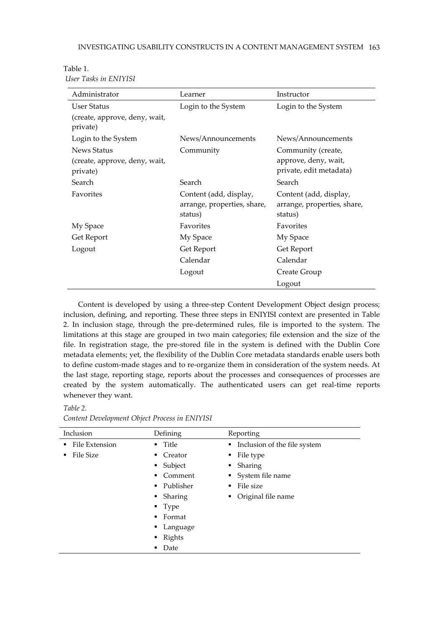| Administrator                             | Learner                     | Instructor                  |
|-------------------------------------------|-----------------------------|-----------------------------|
| <b>User Status</b>                        | Login to the System         | Login to the System         |
| (create, approve, deny, wait,<br>private) |                             |                             |
| Login to the System                       | News/Announcements          | News/Announcements          |
| News Status                               | Community                   | Community (create,          |
| (create, approve, deny, wait,             |                             | approve, deny, wait,        |
| private)                                  |                             | private, edit metadata)     |
| Search                                    | Search                      | Search                      |
| Favorites                                 | Content (add, display,      | Content (add, display,      |
|                                           | arrange, properties, share, | arrange, properties, share, |
|                                           | status)                     | status)                     |
| My Space                                  | Favorites                   | Favorites                   |
| Get Report                                | My Space                    | My Space                    |
| Logout                                    | Get Report                  | Get Report                  |
|                                           | Calendar                    | Calendar                    |
|                                           | Logout                      | Create Group                |
|                                           |                             | Logout                      |

Table 1. User Tasks in ENIYISI

Content is developed by using a three-step Content Development Object design process; inclusion, defining, and reporting. These three steps in ENIYISI context are presented in Table 2. In inclusion stage, through the pre-determined rules, file is imported to the system. The limitations at this stage are grouped in two main categories; file extension and the size of the file. In registration stage, the pre-stored file in the system is defined with the Dublin Core metadata elements; yet, the flexibility of the Dublin Core metadata standards enable users both to define custom-made stages and to re-organize them in consideration of the system needs. At the last stage, reporting stage, reports about the processes and consequences of processes are created by the system automatically. The authenticated users can get real-time reports whenever they want.

Inclusion Defining Reporting **File Extension File Size Title Creator Subject** Comment **Publisher**  Sharing Type ■ Format **Language Rights** • Date **Inclusion of the file system**  File type Sharing System file name File size Original file name

Content Development Object Process in ENIYISI

Table 2.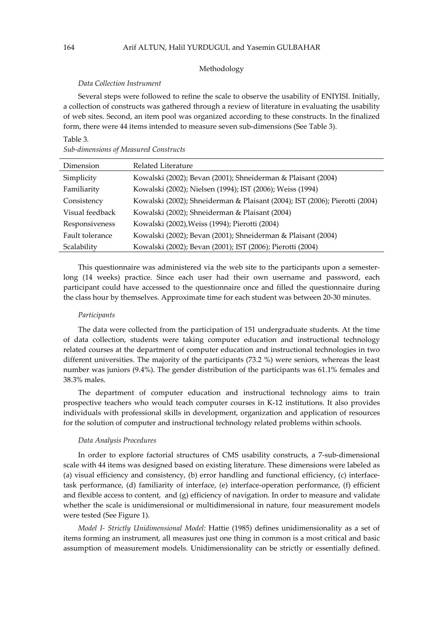#### Methodology

#### Data Collection Instrument

Several steps were followed to refine the scale to observe the usability of ENIYISI. Initially, a collection of constructs was gathered through a review of literature in evaluating the usability of web sites. Second, an item pool was organized according to these constructs. In the finalized form, there were 44 items intended to measure seven sub-dimensions (See Table 3).

### Table 3.

| <b>Sub-dimensions of Measured Constructs</b> |  |  |
|----------------------------------------------|--|--|
|                                              |  |  |

| Dimension       | Related Literature                                                          |
|-----------------|-----------------------------------------------------------------------------|
| Simplicity      | Kowalski (2002); Bevan (2001); Shneiderman & Plaisant (2004)                |
| Familiarity     | Kowalski (2002); Nielsen (1994); IST (2006); Weiss (1994)                   |
| Consistency     | Kowalski (2002); Shneiderman & Plaisant (2004); IST (2006); Pierotti (2004) |
| Visual feedback | Kowalski (2002); Shneiderman & Plaisant (2004)                              |
| Responsiveness  | Kowalski (2002), Weiss (1994); Pierotti (2004)                              |
| Fault tolerance | Kowalski (2002); Bevan (2001); Shneiderman & Plaisant (2004)                |
| Scalability     | Kowalski (2002); Bevan (2001); IST (2006); Pierotti (2004)                  |

This questionnaire was administered via the web site to the participants upon a semesterlong (14 weeks) practice. Since each user had their own username and password, each participant could have accessed to the questionnaire once and filled the questionnaire during the class hour by themselves. Approximate time for each student was between 20-30 minutes.

#### Participants

The data were collected from the participation of 151 undergraduate students. At the time of data collection, students were taking computer education and instructional technology related courses at the department of computer education and instructional technologies in two different universities. The majority of the participants (73.2 %) were seniors, whereas the least number was juniors (9.4%). The gender distribution of the participants was 61.1% females and 38.3% males.

The department of computer education and instructional technology aims to train prospective teachers who would teach computer courses in K-12 institutions. It also provides individuals with professional skills in development, organization and application of resources for the solution of computer and instructional technology related problems within schools.

#### Data Analysis Procedures

In order to explore factorial structures of CMS usability constructs, a 7-sub-dimensional scale with 44 items was designed based on existing literature. These dimensions were labeled as (a) visual efficiency and consistency, (b) error handling and functional efficiency, (c) interfacetask performance, (d) familiarity of interface, (e) interface-operation performance, (f) efficient and flexible access to content, and  $(g)$  efficiency of navigation. In order to measure and validate whether the scale is unidimensional or multidimensional in nature, four measurement models were tested (See Figure 1).

Model I- Strictly Unidimensional Model: Hattie (1985) defines unidimensionality as a set of items forming an instrument, all measures just one thing in common is a most critical and basic assumption of measurement models. Unidimensionality can be strictly or essentially defined.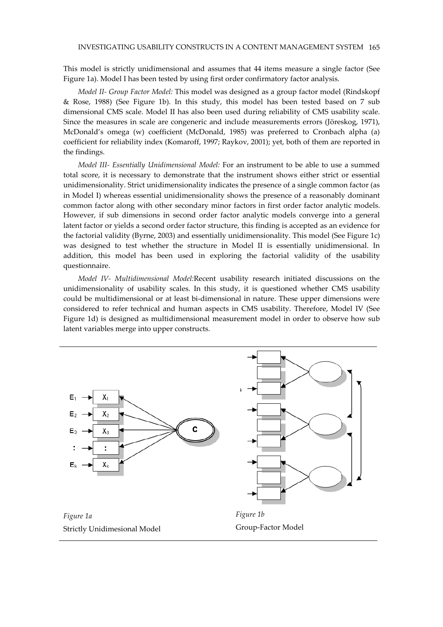This model is strictly unidimensional and assumes that 44 items measure a single factor (See Figure 1a). Model I has been tested by using first order confirmatory factor analysis.

Model II- Group Factor Model: This model was designed as a group factor model (Rindskopf & Rose, 1988) (See Figure 1b). In this study, this model has been tested based on 7 sub dimensional CMS scale. Model II has also been used during reliability of CMS usability scale. Since the measures in scale are congeneric and include measurements errors (Jöreskog, 1971), McDonald's omega (w) coefficient (McDonald, 1985) was preferred to Cronbach alpha (a) coefficient for reliability index (Komaroff, 1997; Raykov, 2001); yet, both of them are reported in the findings.

Model III- Essentially Unidimensional Model: For an instrument to be able to use a summed total score, it is necessary to demonstrate that the instrument shows either strict or essential unidimensionality. Strict unidimensionality indicates the presence of a single common factor (as in Model I) whereas essential unidimensionality shows the presence of a reasonably dominant common factor along with other secondary minor factors in first order factor analytic models. However, if sub dimensions in second order factor analytic models converge into a general latent factor or yields a second order factor structure, this finding is accepted as an evidence for the factorial validity (Byrne, 2003) and essentially unidimensionality. This model (See Figure 1c) was designed to test whether the structure in Model II is essentially unidimensional. In addition, this model has been used in exploring the factorial validity of the usability questionnaire.

Model IV- Multidimensional Model:Recent usability research initiated discussions on the unidimensionality of usability scales. In this study, it is questioned whether CMS usability could be multidimensional or at least bi-dimensional in nature. These upper dimensions were considered to refer technical and human aspects in CMS usability. Therefore, Model IV (See Figure 1d) is designed as multidimensional measurement model in order to observe how sub latent variables merge into upper constructs.

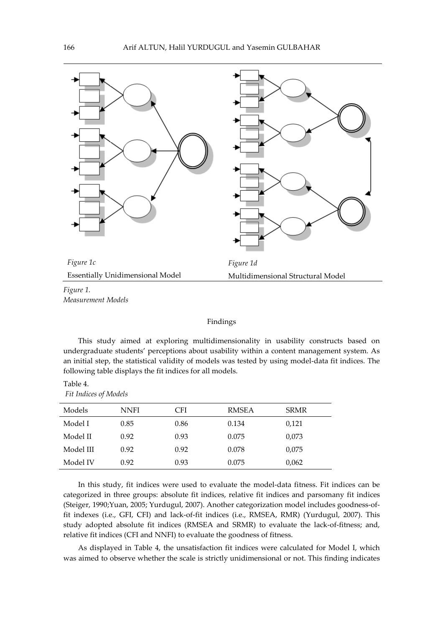

Measurement Models

## Findings

This study aimed at exploring multidimensionality in usability constructs based on undergraduate students' perceptions about usability within a content management system. As an initial step, the statistical validity of models was tested by using model-data fit indices. The following table displays the fit indices for all models.

| Table 4.                     |  |
|------------------------------|--|
| <b>Fit Indices of Models</b> |  |

| Models    | <b>NNFI</b> | CFI  | <b>RMSEA</b> | <b>SRMR</b> |
|-----------|-------------|------|--------------|-------------|
| Model I   | 0.85        | 0.86 | 0.134        | 0,121       |
| Model II  | 0.92        | 0.93 | 0.075        | 0,073       |
| Model III | 0.92        | 0.92 | 0.078        | 0,075       |
| Model IV  | 0.92        | 0.93 | 0.075        | 0,062       |

In this study, fit indices were used to evaluate the model-data fitness. Fit indices can be categorized in three groups: absolute fit indices, relative fit indices and parsomany fit indices (Steiger, 1990;Yuan, 2005; Yurdugul, 2007). Another categorization model includes goodness-offit indexes (i.e., GFI, CFI) and lack-of-fit indices (i.e., RMSEA, RMR) (Yurdugul, 2007). This study adopted absolute fit indices (RMSEA and SRMR) to evaluate the lack-of-fitness; and, relative fit indices (CFI and NNFI) to evaluate the goodness of fitness.

As displayed in Table 4, the unsatisfaction fit indices were calculated for Model I, which was aimed to observe whether the scale is strictly unidimensional or not. This finding indicates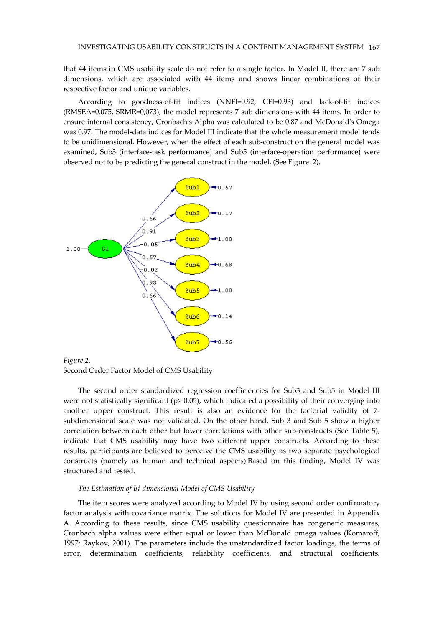that 44 items in CMS usability scale do not refer to a single factor. In Model II, there are 7 sub dimensions, which are associated with 44 items and shows linear combinations of their respective factor and unique variables.

According to goodness-of-fit indices (NNFI=0.92, CFI=0.93) and lack-of-fit indices (RMSEA=0.075, SRMR=0,073), the model represents 7 sub dimensions with 44 items. In order to ensure internal consistency, Cronbach's Alpha was calculated to be 0.87 and McDonald's Omega was 0.97. The model-data indices for Model III indicate that the whole measurement model tends to be unidimensional. However, when the effect of each sub-construct on the general model was examined, Sub3 (interface-task performance) and Sub5 (interface-operation performance) were observed not to be predicting the general construct in the model. (See Figure 2).



Figure 2. Second Order Factor Model of CMS Usability

The second order standardized regression coefficiencies for Sub3 and Sub5 in Model III were not statistically significant ( $p$ > 0.05), which indicated a possibility of their converging into another upper construct. This result is also an evidence for the factorial validity of 7 subdimensional scale was not validated. On the other hand, Sub 3 and Sub 5 show a higher correlation between each other but lower correlations with other sub-constructs (See Table 5), indicate that CMS usability may have two different upper constructs. According to these results, participants are believed to perceive the CMS usability as two separate psychological constructs (namely as human and technical aspects).Based on this finding, Model IV was structured and tested.

#### The Estimation of Bi-dimensional Model of CMS Usability

The item scores were analyzed according to Model IV by using second order confirmatory factor analysis with covariance matrix. The solutions for Model IV are presented in Appendix A. According to these results, since CMS usability questionnaire has congeneric measures, Cronbach alpha values were either equal or lower than McDonald omega values (Komaroff, 1997; Raykov, 2001). The parameters include the unstandardized factor loadings, the terms of error, determination coefficients, reliability coefficients, and structural coefficients.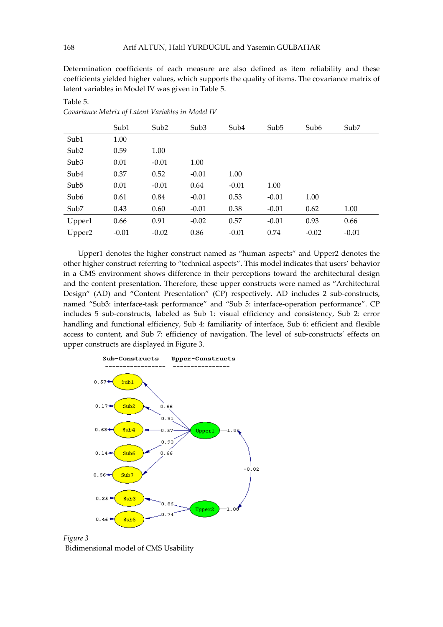Determination coefficients of each measure are also defined as item reliability and these coefficients yielded higher values, which supports the quality of items. The covariance matrix of latent variables in Model IV was given in Table 5.

|                  | Sub1    | Sub <sub>2</sub> | Sub3    | Sub <sub>4</sub> | Sub <sub>5</sub> | Sub <sub>6</sub> | Sub7    |
|------------------|---------|------------------|---------|------------------|------------------|------------------|---------|
| Sub1             | 1.00    |                  |         |                  |                  |                  |         |
| Sub <sub>2</sub> | 0.59    | 1.00             |         |                  |                  |                  |         |
| Sub <sub>3</sub> | 0.01    | $-0.01$          | 1.00    |                  |                  |                  |         |
| Sub <sub>4</sub> | 0.37    | 0.52             | $-0.01$ | 1.00             |                  |                  |         |
| Sub <sub>5</sub> | 0.01    | $-0.01$          | 0.64    | $-0.01$          | 1.00             |                  |         |
| Sub6             | 0.61    | 0.84             | $-0.01$ | 0.53             | $-0.01$          | 1.00             |         |
| Sub7             | 0.43    | 0.60             | $-0.01$ | 0.38             | $-0.01$          | 0.62             | 1.00    |
| Upper1           | 0.66    | 0.91             | $-0.02$ | 0.57             | $-0.01$          | 0.93             | 0.66    |
| Upper2           | $-0.01$ | $-0.02$          | 0.86    | $-0.01$          | 0.74             | $-0.02$          | $-0.01$ |

Covariance Matrix of Latent Variables in Model IV

Upper1 denotes the higher construct named as "human aspects" and Upper2 denotes the other higher construct referring to "technical aspects". This model indicates that users' behavior in a CMS environment shows difference in their perceptions toward the architectural design and the content presentation. Therefore, these upper constructs were named as "Architectural Design" (AD) and "Content Presentation" (CP) respectively. AD includes 2 sub-constructs, named "Sub3: interface-task performance" and "Sub 5: interface-operation performance". CP includes 5 sub-constructs, labeled as Sub 1: visual efficiency and consistency, Sub 2: error handling and functional efficiency, Sub 4: familiarity of interface, Sub 6: efficient and flexible access to content, and Sub 7: efficiency of navigation. The level of sub-constructs' effects on upper constructs are displayed in Figure 3.





Table 5.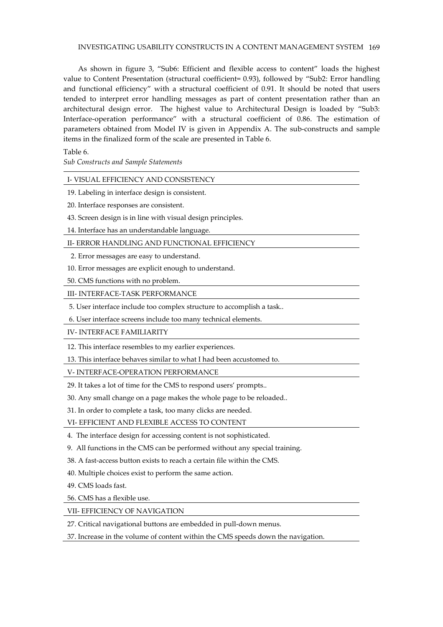## INVESTIGATING USABILITY CONSTRUCTS IN A CONTENT MANAGEMENT SYSTEM 169

As shown in figure 3, "Sub6: Efficient and flexible access to content" loads the highest value to Content Presentation (structural coefficient= 0.93), followed by "Sub2: Error handling and functional efficiency" with a structural coefficient of 0.91. It should be noted that users tended to interpret error handling messages as part of content presentation rather than an architectural design error. The highest value to Architectural Design is loaded by "Sub3: Interface-operation performance" with a structural coefficient of 0.86. The estimation of parameters obtained from Model IV is given in Appendix A. The sub-constructs and sample items in the finalized form of the scale are presented in Table 6.

Table 6.

Sub Constructs and Sample Statements

## I- VISUAL EFFICIENCY AND CONSISTENCY

- 19. Labeling in interface design is consistent.
- 20. Interface responses are consistent.
- 43. Screen design is in line with visual design principles.
- 14. Interface has an understandable language.

## II- ERROR HANDLING AND FUNCTIONAL EFFICIENCY

- 2. Error messages are easy to understand.
- 10. Error messages are explicit enough to understand.

50. CMS functions with no problem.

III- INTERFACE-TASK PERFORMANCE

- 5. User interface include too complex structure to accomplish a task..
- 6. User interface screens include too many technical elements.

IV- INTERFACE FAMILIARITY

12. This interface resembles to my earlier experiences.

13. This interface behaves similar to what I had been accustomed to.

V- INTERFACE-OPERATION PERFORMANCE

29. It takes a lot of time for the CMS to respond users' prompts..

30. Any small change on a page makes the whole page to be reloaded..

31. In order to complete a task, too many clicks are needed.

## VI- EFFICIENT AND FLEXIBLE ACCESS TO CONTENT

- 4. The interface design for accessing content is not sophisticated.
- 9. All functions in the CMS can be performed without any special training.
- 38. A fast-access button exists to reach a certain file within the CMS.
- 40. Multiple choices exist to perform the same action.

49. CMS loads fast.

56. CMS has a flexible use.

VII- EFFICIENCY OF NAVIGATION

27. Critical navigational buttons are embedded in pull-down menus.

37. Increase in the volume of content within the CMS speeds down the navigation.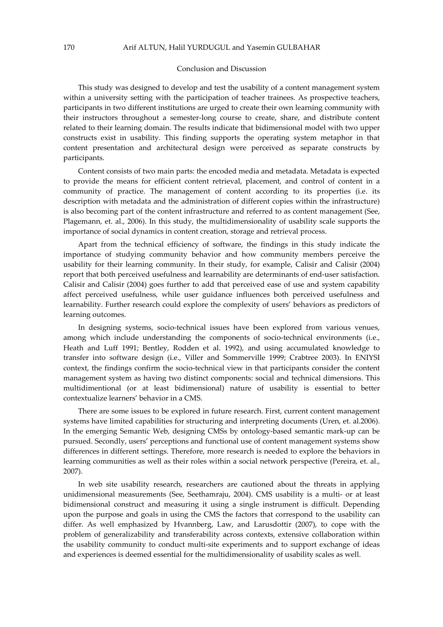#### Conclusion and Discussion

This study was designed to develop and test the usability of a content management system within a university setting with the participation of teacher trainees. As prospective teachers, participants in two different institutions are urged to create their own learning community with their instructors throughout a semester-long course to create, share, and distribute content related to their learning domain. The results indicate that bidimensional model with two upper constructs exist in usability. This finding supports the operating system metaphor in that content presentation and architectural design were perceived as separate constructs by participants.

Content consists of two main parts: the encoded media and metadata. Metadata is expected to provide the means for efficient content retrieval, placement, and control of content in a community of practice. The management of content according to its properties (i.e. its description with metadata and the administration of different copies within the infrastructure) is also becoming part of the content infrastructure and referred to as content management (See, Plagemann, et. al., 2006). In this study, the multidimensionality of usability scale supports the importance of social dynamics in content creation, storage and retrieval process.

Apart from the technical efficiency of software, the findings in this study indicate the importance of studying community behavior and how community members perceive the usability for their learning community. In their study, for example, Calisir and Calisir (2004) report that both perceived usefulness and learnability are determinants of end-user satisfaction. Calisir and Calisir (2004) goes further to add that perceived ease of use and system capability affect perceived usefulness, while user guidance influences both perceived usefulness and learnability. Further research could explore the complexity of users' behaviors as predictors of learning outcomes.

In designing systems, socio-technical issues have been explored from various venues, among which include understanding the components of socio-technical environments (i.e., Heath and Luff 1991; Bentley, Rodden et al. 1992), and using accumulated knowledge to transfer into software design (i.e., Viller and Sommerville 1999; Crabtree 2003). In ENIYSI context, the findings confirm the socio-technical view in that participants consider the content management system as having two distinct components: social and technical dimensions. This multidimentional (or at least bidimensional) nature of usability is essential to better contextualize learners' behavior in a CMS.

There are some issues to be explored in future research. First, current content management systems have limited capabilities for structuring and interpreting documents (Uren, et. al.2006). In the emerging Semantic Web, designing CMSs by ontology-based semantic mark-up can be pursued. Secondly, users' perceptions and functional use of content management systems show differences in different settings. Therefore, more research is needed to explore the behaviors in learning communities as well as their roles within a social network perspective (Pereira, et. al., 2007).

In web site usability research, researchers are cautioned about the threats in applying unidimensional measurements (See, Seethamraju, 2004). CMS usability is a multi- or at least bidimensional construct and measuring it using a single instrument is difficult. Depending upon the purpose and goals in using the CMS the factors that correspond to the usability can differ. As well emphasized by Hvannberg, Law, and Larusdottir (2007), to cope with the problem of generalizability and transferability across contexts, extensive collaboration within the usability community to conduct multi-site experiments and to support exchange of ideas and experiences is deemed essential for the multidimensionality of usability scales as well.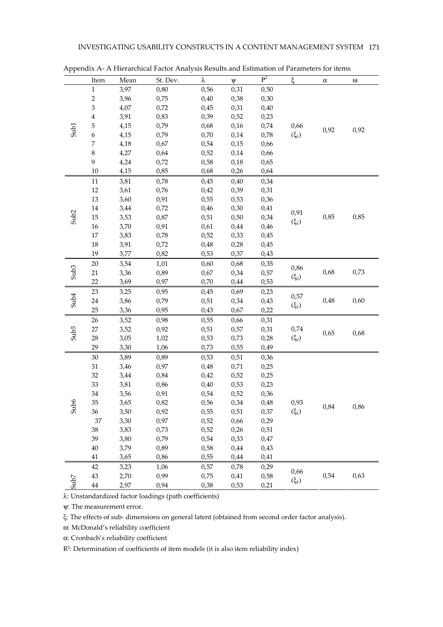|                  | Item           | Mean | St. Dev. | λ    | $\Psi$ | $P^2$ | ξ         | $\alpha$ | ω    |
|------------------|----------------|------|----------|------|--------|-------|-----------|----------|------|
|                  | $\mathbf 1$    | 3,97 | 0,80     | 0,56 | 0,31   | 0,50  |           |          |      |
|                  | $\overline{c}$ | 3,96 | 0,75     | 0,40 | 0,38   | 0,30  |           |          |      |
|                  | 3              | 4,07 | 0,72     | 0,45 | 0,31   | 0,40  |           |          |      |
|                  | $\overline{4}$ | 3,91 | 0,83     | 0,39 | 0,52   | 0,23  |           |          |      |
|                  | 5              | 4,15 | 0,79     | 0,68 | 0,16   | 0,74  | 0,66      |          |      |
| Sub1             | 6              | 4,15 | 0,79     | 0,70 | 0,14   | 0,78  | $(\xi_1)$ | 0,92     | 0,92 |
|                  | 7              | 4,18 | 0,67     | 0,54 | 0,15   | 0,66  |           |          |      |
|                  | 8              | 4,27 | 0,64     | 0,52 | 0,14   | 0,66  |           |          |      |
|                  | 9              | 4,24 | 0,72     | 0,58 | 0,18   | 0,65  |           |          |      |
|                  | 10             | 4,15 | 0,85     | 0,68 | 0,26   | 0,64  |           |          |      |
|                  | $11\,$         | 3,81 | 0,78     | 0,45 | 0,40   | 0,34  |           |          |      |
|                  | 12             | 3,61 | 0,76     | 0,42 | 0,39   | 0,31  |           |          |      |
|                  | 13             | 3,60 | 0,91     | 0,55 | 0,53   | 0,36  |           |          |      |
|                  | 14             | 3,44 | 0,72     | 0,46 | 0,30   | 0,41  |           |          |      |
| Sub <sub>2</sub> | $15\,$         | 3,53 | 0,87     | 0,51 | 0,50   | 0,34  | 0,91      | 0,85     | 0,85 |
|                  | 16             | 3,70 | 0,91     | 0,61 | 0,44   | 0,46  | $(\xi_1)$ |          |      |
|                  | $17\,$         | 3,83 | 0,78     | 0,52 | 0,33   | 0,45  |           |          |      |
|                  | $18\,$         | 3,91 | 0,72     | 0,48 | 0,28   | 0,45  |           |          |      |
|                  | 19             | 3,77 | 0,82     | 0,53 | 0,37   | 0,43  |           |          |      |
|                  | 20             | 3,54 | 1,01     | 0,60 | 0,68   | 0,35  | 0,86      | 0,68     | 0,73 |
| Sub <sub>3</sub> | 21             | 3,36 | 0,89     | 0,67 | 0,34   | 0,57  |           |          |      |
|                  | 22             | 3,69 | 0,97     | 0,70 | 0,44   | 0,53  | $(\xi_2)$ |          |      |
|                  | 23             | 3,25 | 0,95     | 0,45 | 0,69   | 0,23  | 0,57      |          |      |
| Sub <sub>4</sub> | 24             | 3,86 | 0,79     | 0,51 | 0,34   | 0,43  |           | 0,48     | 0,60 |
|                  | 25             | 3,36 | 0,95     | 0,43 | 0,67   | 0,22  | $(\xi_1)$ |          |      |
|                  | 26             | 3,52 | 0,98     | 0,55 | 0,66   | 0,31  |           |          |      |
|                  | 27             | 3,52 | 0,92     | 0,51 | 0,57   | 0,31  | 0,74      |          | 0,68 |
| Sub <sub>5</sub> | 28             | 3,05 | 1,02     | 0,53 | 0,73   | 0,28  | $(\xi_2)$ | 0,65     |      |
|                  | 29             | 3,30 | 1,06     | 0,73 | 0,55   | 0,49  |           |          |      |
|                  | 30             | 3,89 | 0,89     | 0,53 | 0,51   | 0,36  |           |          |      |
|                  | 31             | 3,46 | 0,97     | 0,48 | 0,71   | 0,25  |           |          |      |
|                  | 32             | 3,44 | 0,84     | 0,42 | 0,52   | 0,25  |           |          | 0,86 |
|                  | 33             | 3,81 | 0,86     | 0,40 | 0,53   | 0,23  |           |          |      |
|                  | 34             | 3,56 | 0,91     | 0,54 | 0,52   | 0,36  |           |          |      |
|                  | 35             | 3,65 | 0,82     | 0,56 | 0,34   | 0,48  | 0,93      |          |      |
| Sub6             | 36             | 3,50 | 0,92     | 0,55 | 0,51   | 0,37  | $(\xi_1)$ | 0,84     |      |
|                  | 37             | 3,30 | 0,97     | 0,52 | 0,66   | 0,29  |           |          |      |
|                  | 38             | 3,83 | 0,73     | 0,52 | 0,26   | 0,51  |           |          |      |
|                  | 39             | 3,80 | 0,79     | 0,54 | 0,33   | 0,47  |           |          |      |
|                  | $40\,$         | 3,79 | 0,89     | 0,58 | 0,44   | 0,43  |           |          |      |
|                  | $41\,$         | 3,65 | 0,86     | 0,55 | 0,44   | 0,41  |           |          |      |
| 5007             | 42             | 3,23 | 1,06     | 0,57 | 0,78   | 0,29  |           |          |      |
|                  | 43             | 2,70 | 0,99     | 0,75 | 0,41   | 0,58  | 0,66      | 0,54     | 0,63 |
|                  | $\bf 44$       | 2,97 | 0,94     | 0,38 | 0,53   | 0,21  | $(\xi_1)$ |          |      |

Appendix A- A Hierarchical Factor Analysis Results and Estimation of Parameters for items

λ: Unstandardized factor loadings (path coefficients)

ψ: The measurement error.

ξ: The effects of sub- dimensions on general latent (obtained from second order factor analysis).

ω: McDonald's reliability coefficient

α: Cronbach's reliability coefficient

R2 : Determination of coefficients of item models (it is also item reliability index)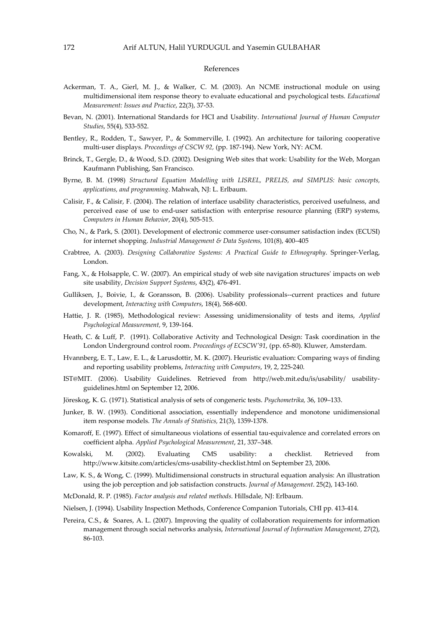#### References

- Ackerman, T. A., Gierl, M. J., & Walker, C. M. (2003). An NCME instructional module on using multidimensional item response theory to evaluate educational and psychological tests. Educational Measurement: Issues and Practice, 22(3), 37-53.
- Bevan, N. (2001). International Standards for HCI and Usability. International Journal of Human Computer Studies, 55(4), 533-552.
- Bentley, R., Rodden, T., Sawyer, P., & Sommerville, I. (1992). An architecture for tailoring cooperative multi-user displays. Proceedings of CSCW 92, (pp. 187-194). New York, NY: ACM.
- Brinck, T., Gergle, D., & Wood, S.D. (2002). Designing Web sites that work: Usability for the Web, Morgan Kaufmann Publishing, San Francisco.
- Byrne, B. M. (1998) Structural Equation Modelling with LISREL, PRELIS, and SIMPLIS: basic concepts, applications, and programming. Mahwah, NJ: L. Erlbaum.
- Calisir, F., & Calisir, F. (2004). The relation of interface usability characteristics, perceived usefulness, and perceived ease of use to end-user satisfaction with enterprise resource planning (ERP) systems, Computers in Human Behavior, 20(4), 505-515.
- Cho, N., & Park, S. (2001). Development of electronic commerce user-consumer satisfaction index (ECUSI) for internet shopping. Industrial Management & Data Systems, 101(8), 400–405
- Crabtree, A. (2003). Designing Collaborative Systems: A Practical Guide to Ethnography. Springer-Verlag, London.
- Fang, X., & Holsapple, C. W. (2007). An empirical study of web site navigation structures' impacts on web site usability, Decision Support Systems, 43(2), 476-491.
- Gulliksen, J., Boivie, I., & Goransson, B. (2006). Usability professionals--current practices and future development, Interacting with Computers, 18(4), 568-600.
- Hattie, J. R. (1985), Methodological review: Assessing unidimensionality of tests and items, Applied Psychological Measurement, 9, 139-164.
- Heath, C. & Luff, P. (1991). Collaborative Activity and Technological Design: Task coordination in the London Underground control room. Proceedings of ECSCW'91, (pp. 65-80). Kluwer, Amsterdam.
- Hvannberg, E. T., Law, E. L., & Larusdottir, M. K. (2007). Heuristic evaluation: Comparing ways of finding and reporting usability problems, Interacting with Computers, 19, 2, 225-240.
- IST@MIT. (2006). Usability Guidelines. Retrieved from http://web.mit.edu/is/usability/ usabilityguidelines.html on September 12, 2006.
- Jöreskog, K. G. (1971). Statistical analysis of sets of congeneric tests. Psychometrika, 36, 109–133.
- Junker, B. W. (1993). Conditional association, essentially independence and monotone unidimensional item response models. The Annals of Statistics, 21(3), 1359-1378.
- Komaroff, E. (1997). Effect of simultaneous violations of essential tau-equivalence and correlated errors on coefficient alpha. Applied Psychological Measurement, 21, 337–348.
- Kowalski, M. (2002). Evaluating CMS usability: a checklist. Retrieved from http://www.kitsite.com/articles/cms-usability-checklist.html on September 23, 2006.
- Law, K. S., & Wong, C. (1999). Multidimensional constructs in structural equation analysis: An illustration using the job perception and job satisfaction constructs. Journal of Management. 25(2), 143-160.
- McDonald, R. P. (1985). Factor analysis and related methods. Hillsdale, NJ: Erlbaum.
- Nielsen, J. (1994). Usability Inspection Methods, Conference Companion Tutorials, CHI pp. 413-414.
- Pereira, C.S., & Soares, A. L. (2007). Improving the quality of collaboration requirements for information management through social networks analysis, International Journal of Information Management, 27(2), 86-103.